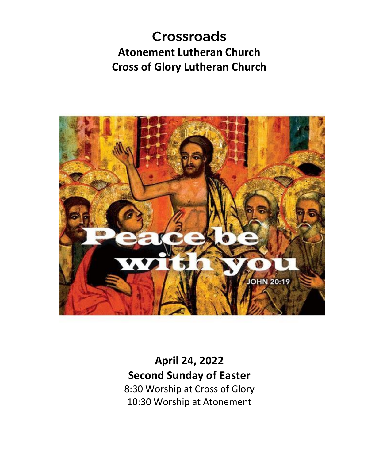# Crossroads **Atonement Lutheran Church Cross of Glory Lutheran Church**



**April 24, 2022 Second Sunday of Easter** 8:30 Worship at Cross of Glory 10:30 Worship at Atonement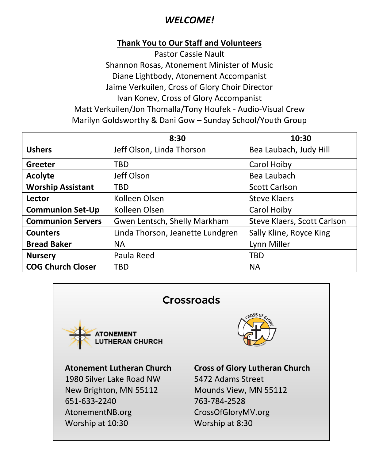## *WELCOME!*

## **Thank You to Our Staff and Volunteers**

Pastor Cassie Nault Shannon Rosas, Atonement Minister of Music Diane Lightbody, Atonement Accompanist Jaime Verkuilen, Cross of Glory Choir Director Ivan Konev, Cross of Glory Accompanist Matt Verkuilen/Jon Thomalla/Tony Houfek - Audio-Visual Crew Marilyn Goldsworthy & Dani Gow – Sunday School/Youth Group

|                          | 8:30                             | 10:30                       |
|--------------------------|----------------------------------|-----------------------------|
| <b>Ushers</b>            | Jeff Olson, Linda Thorson        | Bea Laubach, Judy Hill      |
| Greeter                  | TBD                              | Carol Hoiby                 |
| Acolyte                  | Jeff Olson                       | Bea Laubach                 |
| <b>Worship Assistant</b> | TBD                              | <b>Scott Carlson</b>        |
| Lector                   | Kolleen Olsen                    | <b>Steve Klaers</b>         |
| <b>Communion Set-Up</b>  | Kolleen Olsen                    | Carol Hoiby                 |
| <b>Communion Servers</b> | Gwen Lentsch, Shelly Markham     | Steve Klaers, Scott Carlson |
| <b>Counters</b>          | Linda Thorson, Jeanette Lundgren | Sally Kline, Royce King     |
| <b>Bread Baker</b>       | <b>NA</b>                        | Lynn Miller                 |
| <b>Nursery</b>           | Paula Reed                       | TBD                         |
| <b>COG Church Closer</b> | TBD                              | <b>NA</b>                   |

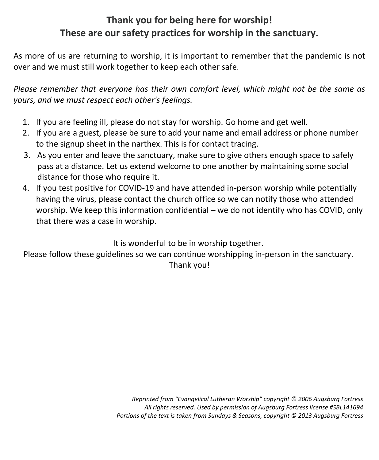# **Thank you for being here for worship! These are our safety practices for worship in the sanctuary.**

As more of us are returning to worship, it is important to remember that the pandemic is not over and we must still work together to keep each other safe.

*Please remember that everyone has their own comfort level, which might not be the same as yours, and we must respect each other's feelings.*

- 1. If you are feeling ill, please do not stay for worship. Go home and get well.
- 2. If you are a guest, please be sure to add your name and email address or phone number to the signup sheet in the narthex. This is for contact tracing.
- 3. As you enter and leave the sanctuary, make sure to give others enough space to safely pass at a distance. Let us extend welcome to one another by maintaining some social distance for those who require it.
- 4. If you test positive for COVID-19 and have attended in-person worship while potentially having the virus, please contact the church office so we can notify those who attended worship. We keep this information confidential – we do not identify who has COVID, only that there was a case in worship.

It is wonderful to be in worship together.

Please follow these guidelines so we can continue worshipping in-person in the sanctuary. Thank you!

> *Reprinted from "Evangelical Lutheran Worship" copyright © 2006 Augsburg Fortress All rights reserved. Used by permission of Augsburg Fortress license #SBL141694 Portions of the text is taken from Sundays & Seasons, copyright © 2013 Augsburg Fortress*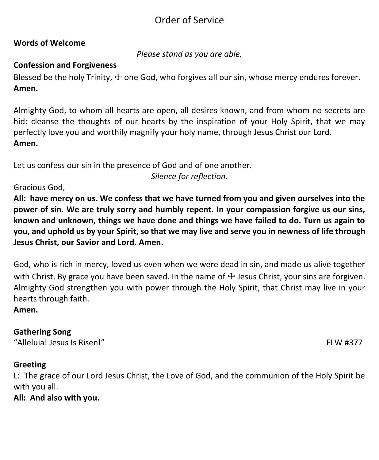# Order of Service

## **Words of Welcome**

*Please stand as you are able.*

## **Confession and Forgiveness**

Blessed be the holy Trinity,  $+$  one God, who forgives all our sin, whose mercy endures forever. **Amen.**

Almighty God, to whom all hearts are open, all desires known, and from whom no secrets are hid: cleanse the thoughts of our hearts by the inspiration of your Holy Spirit, that we may perfectly love you and worthily magnify your holy name, through Jesus Christ our Lord. **Amen.**

Let us confess our sin in the presence of God and of one another.

*Silence for reflection.*

## Gracious God,

**All: have mercy on us. We confess that we have turned from you and given ourselves into the power of sin. We are truly sorry and humbly repent. In your compassion forgive us our sins, known and unknown, things we have done and things we have failed to do. Turn us again to you, and uphold us by your Spirit, so that we may live and serve you in newness of life through Jesus Christ, our Savior and Lord. Amen.**

God, who is rich in mercy, loved us even when we were dead in sin, and made us alive together with Christ. By grace you have been saved. In the name of  $\pm$  Jesus Christ, your sins are forgiven. Almighty God strengthen you with power through the Holy Spirit, that Christ may live in your hearts through faith.

**Amen.**

## **Gathering Song**

"Alleluia! Jesus Is Risen!" ELW #377

## **Greeting**

L: The grace of our Lord Jesus Christ, the Love of God, and the communion of the Holy Spirit be with you all.

## **All: And also with you.**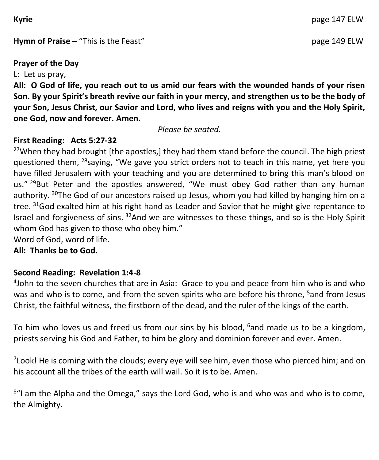**Hymn of Praise –** "This is the Feast" **page 149 ELW** 

## **Prayer of the Day**

L: Let us pray,

**All: O God of life, you reach out to us amid our fears with the wounded hands of your risen Son. By your Spirit's breath revive our faith in your mercy, and strengthen us to be the body of your Son, Jesus Christ, our Savior and Lord, who lives and reigns with you and the Holy Spirit, one God, now and forever. Amen.**

*Please be seated.*

## **First Reading: Acts 5:27-32**

<sup>27</sup>When they had brought [the apostles,] they had them stand before the council. The high priest questioned them, <sup>28</sup>saying, "We gave you strict orders not to teach in this name, yet here you have filled Jerusalem with your teaching and you are determined to bring this man's blood on us." <sup>29</sup>But Peter and the apostles answered, "We must obey God rather than any human authority. <sup>30</sup>The God of our ancestors raised up Jesus, whom you had killed by hanging him on a tree.  $31$ God exalted him at his right hand as Leader and Savior that he might give repentance to Israel and forgiveness of sins.  $32$ And we are witnesses to these things, and so is the Holy Spirit whom God has given to those who obey him."

Word of God, word of life.

**All: Thanks be to God.**

## **Second Reading: Revelation 1:4-8**

4 John to the seven churches that are in Asia: Grace to you and peace from him who is and who was and who is to come, and from the seven spirits who are before his throne, <sup>5</sup>and from Jesus Christ, the faithful witness, the firstborn of the dead, and the ruler of the kings of the earth.

To him who loves us and freed us from our sins by his blood,  $6$  and made us to be a kingdom, priests serving his God and Father, to him be glory and dominion forever and ever. Amen.

 $7$ Look! He is coming with the clouds; every eye will see him, even those who pierced him; and on his account all the tribes of the earth will wail. So it is to be. Amen.

<sup>8</sup>"I am the Alpha and the Omega," says the Lord God, who is and who was and who is to come, the Almighty.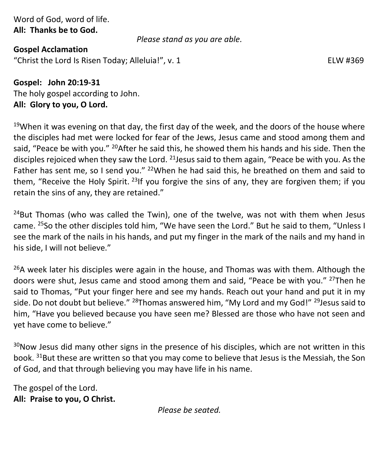Word of God, word of life. **All: Thanks be to God.**

*Please stand as you are able.*

**Gospel Acclamation** "Christ the Lord Is Risen Today; Alleluia!", v. 1 ELW #369

**Gospel: John 20:19-31** The holy gospel according to John. **All: Glory to you, O Lord.**

 $19$ When it was evening on that day, the first day of the week, and the doors of the house where the disciples had met were locked for fear of the Jews, Jesus came and stood among them and said, "Peace be with you." <sup>20</sup>After he said this, he showed them his hands and his side. Then the disciples rejoiced when they saw the Lord. <sup>21</sup> Jesus said to them again, "Peace be with you. As the Father has sent me, so I send you."  $22$ When he had said this, he breathed on them and said to them, "Receive the Holy Spirit.<sup>23</sup>If you forgive the sins of any, they are forgiven them; if you retain the sins of any, they are retained."

 $24$ But Thomas (who was called the Twin), one of the twelve, was not with them when Jesus came. <sup>25</sup>So the other disciples told him, "We have seen the Lord." But he said to them, "Unless I see the mark of the nails in his hands, and put my finger in the mark of the nails and my hand in his side, I will not believe."

 $26A$  week later his disciples were again in the house, and Thomas was with them. Although the doors were shut, Jesus came and stood among them and said, "Peace be with you." <sup>27</sup>Then he said to Thomas, "Put your finger here and see my hands. Reach out your hand and put it in my side. Do not doubt but believe." <sup>28</sup>Thomas answered him, "My Lord and my God!" <sup>29</sup>Jesus said to him, "Have you believed because you have seen me? Blessed are those who have not seen and yet have come to believe."

 $30$ Now Jesus did many other signs in the presence of his disciples, which are not written in this book. <sup>31</sup>But these are written so that you may come to believe that Jesus is the Messiah, the Son of God, and that through believing you may have life in his name.

The gospel of the Lord. **All: Praise to you, O Christ.**

*Please be seated.*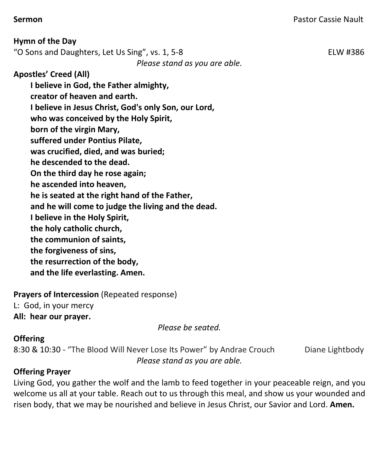**Hymn of the Day** "O Sons and Daughters, Let Us Sing", vs. 1, 5-8 ELW #386 *Please stand as you are able.* **Apostles' Creed (All) I believe in God, the Father almighty, creator of heaven and earth. I believe in Jesus Christ, God's only Son, our Lord, who was conceived by the Holy Spirit, born of the virgin Mary, suffered under Pontius Pilate, was crucified, died, and was buried; he descended to the dead. On the third day he rose again; he ascended into heaven, he is seated at the right hand of the Father, and he will come to judge the living and the dead. I believe in the Holy Spirit, the holy catholic church, the communion of saints, the forgiveness of sins, the resurrection of the body, and the life everlasting. Amen.**

**Prayers of Intercession** (Repeated response) L: God, in your mercy **All: hear our prayer.** 

*Please be seated.*

## **Offering**

8:30 & 10:30 - "The Blood Will Never Lose Its Power" by Andrae Crouch Diane Lightbody *Please stand as you are able.*

## **Offering Prayer**

Living God, you gather the wolf and the lamb to feed together in your peaceable reign, and you welcome us all at your table. Reach out to us through this meal, and show us your wounded and risen body, that we may be nourished and believe in Jesus Christ, our Savior and Lord. **Amen.**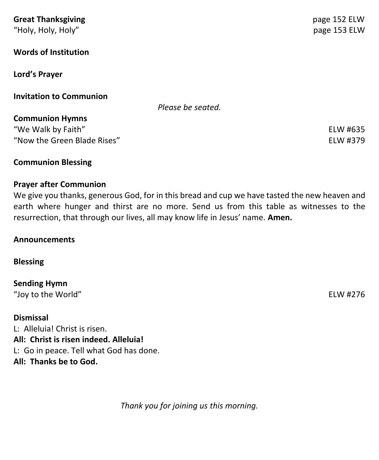| <b>Great Thanksgiving</b>      | page 152 ELW |
|--------------------------------|--------------|
| "Holy, Holy, Holy"             | page 153 ELW |
| <b>Words of Institution</b>    |              |
| Lord's Prayer                  |              |
| <b>Invitation to Communion</b> |              |
| Please be seated.              |              |
| <b>Communion Hymns</b>         |              |
| "We Walk by Faith"             | ELW #635     |
| "Now the Green Blade Rises"    | ELW #379     |
| <b>Communion Blessing</b>      |              |

#### **Prayer after Communion**

We give you thanks, generous God, for in this bread and cup we have tasted the new heaven and earth where hunger and thirst are no more. Send us from this table as witnesses to the resurrection, that through our lives, all may know life in Jesus' name. **Amen.**

#### **Announcements**

#### **Blessing**

**Sending Hymn** "Joy to the World" ELW #276

**Dismissal** L: Alleluia! Christ is risen. **All: Christ is risen indeed. Alleluia!** L: Go in peace. Tell what God has done. **All: Thanks be to God.**

*Thank you for joining us this morning.*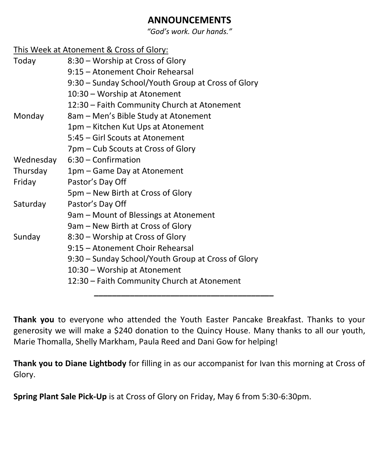## **ANNOUNCEMENTS**

*"God's work. Our hands."*

## This Week at Atonement & Cross of Glory:

| Today     | 8:30 – Worship at Cross of Glory                   |
|-----------|----------------------------------------------------|
|           | 9:15 – Atonement Choir Rehearsal                   |
|           | 9:30 – Sunday School/Youth Group at Cross of Glory |
|           | 10:30 - Worship at Atonement                       |
|           | 12:30 - Faith Community Church at Atonement        |
| Monday    | 8am – Men's Bible Study at Atonement               |
|           | 1pm - Kitchen Kut Ups at Atonement                 |
|           | 5:45 – Girl Scouts at Atonement                    |
|           | 7pm – Cub Scouts at Cross of Glory                 |
| Wednesday | $6:30$ – Confirmation                              |
| Thursday  | 1pm – Game Day at Atonement                        |
| Friday    | Pastor's Day Off                                   |
|           | 5pm - New Birth at Cross of Glory                  |
| Saturday  | Pastor's Day Off                                   |
|           | 9am – Mount of Blessings at Atonement              |
|           | 9am – New Birth at Cross of Glory                  |
| Sunday    | 8:30 – Worship at Cross of Glory                   |
|           | 9:15 – Atonement Choir Rehearsal                   |
|           | 9:30 – Sunday School/Youth Group at Cross of Glory |
|           | 10:30 - Worship at Atonement                       |
|           | 12:30 - Faith Community Church at Atonement        |
|           |                                                    |

**Thank you** to everyone who attended the Youth Easter Pancake Breakfast. Thanks to your generosity we will make a \$240 donation to the Quincy House. Many thanks to all our youth, Marie Thomalla, Shelly Markham, Paula Reed and Dani Gow for helping!

**Thank you to Diane Lightbody** for filling in as our accompanist for Ivan this morning at Cross of Glory.

**Spring Plant Sale Pick-Up** is at Cross of Glory on Friday, May 6 from 5:30-6:30pm.